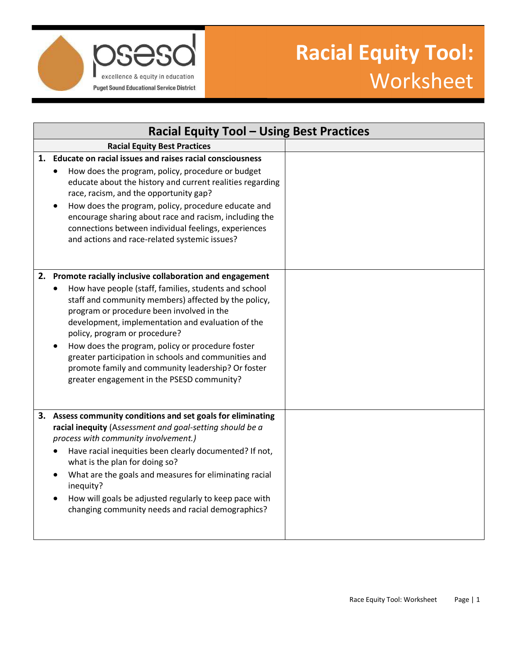

## **Racial Equity Tool:**  Worksheet

| <b>Racial Equity Tool - Using Best Practices</b>                                                                                                                                                                                                                                                                                                                                                                                                                                                                               |  |  |
|--------------------------------------------------------------------------------------------------------------------------------------------------------------------------------------------------------------------------------------------------------------------------------------------------------------------------------------------------------------------------------------------------------------------------------------------------------------------------------------------------------------------------------|--|--|
| <b>Racial Equity Best Practices</b>                                                                                                                                                                                                                                                                                                                                                                                                                                                                                            |  |  |
| Educate on racial issues and raises racial consciousness<br>1.<br>How does the program, policy, procedure or budget<br>educate about the history and current realities regarding<br>race, racism, and the opportunity gap?<br>How does the program, policy, procedure educate and<br>encourage sharing about race and racism, including the<br>connections between individual feelings, experiences<br>and actions and race-related systemic issues?                                                                           |  |  |
| 2. Promote racially inclusive collaboration and engagement<br>How have people (staff, families, students and school<br>staff and community members) affected by the policy,<br>program or procedure been involved in the<br>development, implementation and evaluation of the<br>policy, program or procedure?<br>How does the program, policy or procedure foster<br>greater participation in schools and communities and<br>promote family and community leadership? Or foster<br>greater engagement in the PSESD community? |  |  |
| 3. Assess community conditions and set goals for eliminating<br>racial inequity (Assessment and goal-setting should be a<br>process with community involvement.)<br>Have racial inequities been clearly documented? If not,<br>what is the plan for doing so?<br>What are the goals and measures for eliminating racial<br>inequity?<br>How will goals be adjusted regularly to keep pace with<br>changing community needs and racial demographics?                                                                            |  |  |